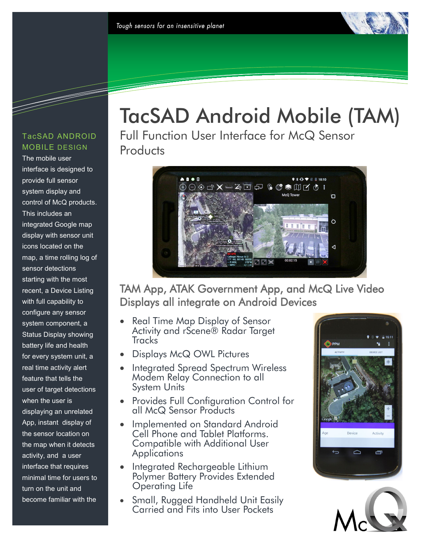#### TacSAD ANDROID MOBILE DESIGN

<u> Santa Barata Barata Barata Barata Barata Barata Barata Barata Barata Barata Barata Barata Barata Barata Bara</u>

The mobile user interface is designed to provide full sensor system display and control of McQ products. This includes an integrated Google map display with sensor unit icons located on the map, a time rolling log of sensor detections starting with the most recent, a Device Listing with full capability to configure any sensor system component, a Status Display showing battery life and health for every system unit, a real time activity alert feature that tells the user of target detections when the user is displaying an unrelated App, instant display of the sensor location on the map when it detects activity, and a user interface that requires minimal time for users to turn on the unit and become familiar with the

# TacSAD Android Mobile (TAM)

Full Function User Interface for McQ Sensor **Products** 



## TAM App, ATAK Government App, and McQ Live Video Displays all integrate on Android Devices

- Real Time Map Display of Sensor Activity and rScene® Radar Target **Tracks**
- Displays McQ OWL Pictures
- Integrated Spread Spectrum Wireless Modem Relay Connection to all System Units
- Provides Full Configuration Control for all McQ Sensor Products
- Implemented on Standard Android Cell Phone and Tablet Platforms. Compatible with Additional User **Applications**
- Integrated Rechargeable Lithium Polymer Battery Provides Extended Operating Life
- Small, Rugged Handheld Unit Easily Carried and Fits into User Pockets